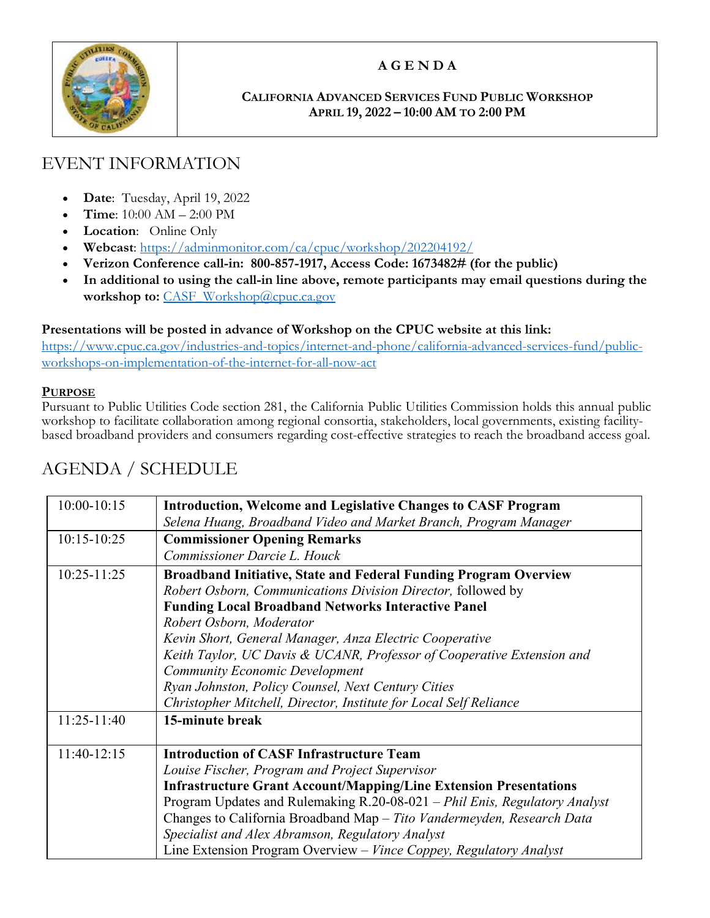

## **A G E N D A**

#### **CALIFORNIA ADVANCED SERVICES FUND PUBLIC WORKSHOP APRIL 19, 2022 – 10:00 AM TO 2:00 PM**

# EVENT INFORMATION

- **Date**: Tuesday, April 19, 2022
- **Time**: 10:00 AM 2:00 PM
- **Location**: Online Only
- **Webcast**: <https://adminmonitor.com/ca/cpuc/workshop/202204192/>
- **Verizon Conference call-in: 800-857-1917, Access Code: 1673482# (for the public)**
- **In additional to using the call-in line above, remote participants may email questions during the workshop to:** [CASF\\_Workshop@cpuc.ca.gov](mailto:CASF_Workshop@cpuc.ca.gov)

#### **Presentations will be posted in advance of Workshop on the CPUC website at this link:**

[https://www.cpuc.ca.gov/industries-and-topics/internet-and-phone/california-advanced-services-fund/public](https://www.cpuc.ca.gov/industries-and-topics/internet-and-phone/california-advanced-services-fund/public-workshops-on-implementation-of-the-internet-for-all-now-act)[workshops-on-implementation-of-the-internet-for-all-now-act](https://www.cpuc.ca.gov/industries-and-topics/internet-and-phone/california-advanced-services-fund/public-workshops-on-implementation-of-the-internet-for-all-now-act)

#### **PURPOSE**

Pursuant to Public Utilities Code section 281, the California Public Utilities Commission holds this annual public workshop to facilitate collaboration among regional consortia, stakeholders, local governments, existing facilitybased broadband providers and consumers regarding cost-effective strategies to reach the broadband access goal.

### 10:00-10:15 **Introduction, Welcome and Legislative Changes to CASF Program** *Selena Huang, Broadband Video and Market Branch, Program Manager* 10:15-10:25 **Commissioner Opening Remarks** *Commissioner Darcie L. Houck* 10:25-11:25 **Broadband Initiative, State and Federal Funding Program Overview** *Robert Osborn, Communications Division Director,* followed by **Funding Local Broadband Networks Interactive Panel**  *Robert Osborn, Moderator Kevin Short, General Manager, Anza Electric Cooperative Keith Taylor, UC Davis & UCANR, Professor of Cooperative Extension and Community Economic Development Ryan Johnston, Policy Counsel, Next Century Cities Christopher Mitchell, Director, Institute for Local Self Reliance* 11:25-11:40 **15-minute break** 11:40-12:15 **Introduction of CASF Infrastructure Team** *Louise Fischer, Program and Project Supervisor*  **Infrastructure Grant Account/Mapping/Line Extension Presentations** Program Updates and Rulemaking R.20-08-021 *– Phil Enis, Regulatory Analyst* Changes to California Broadband Map *– Tito Vandermeyden, Research Data Specialist and Alex Abramson, Regulatory Analyst* Line Extension Program Overview *– Vince Coppey, Regulatory Analyst*

## AGENDA / SCHEDULE